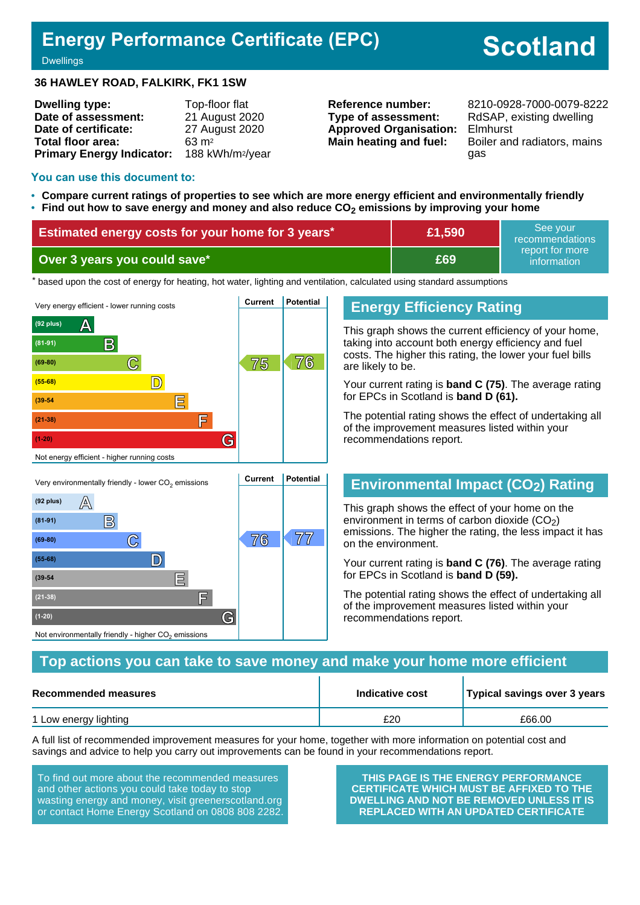## **Energy Performance Certificate (EPC)**

# **Scotland**

**Dwellings** 

#### **36 HAWLEY ROAD, FALKIRK, FK1 1SW**

| <b>Dwelling type:</b>            | Top-floor flat               |
|----------------------------------|------------------------------|
| Date of assessment:              | 21 August 2020               |
| Date of certificate:             | 27 August 2020               |
| Total floor area:                | $63 \text{ m}^2$             |
| <b>Primary Energy Indicator:</b> | 188 kWh/m <sup>2</sup> /year |

**Type of assessment:** RdSAP, existing dwelling **Approved Organisation:** Elmhurst

**Reference number:** 8210-0928-7000-0079-8222 **Main heating and fuel:** Boiler and radiators, mains gas

#### **You can use this document to:**

- **Compare current ratings of properties to see which are more energy efficient and environmentally friendly**
- **Find out how to save energy and money and also reduce CO2 emissions by improving your home**

| Estimated energy costs for your home for 3 years* | £1,590 | l See vour<br>recommendations  |
|---------------------------------------------------|--------|--------------------------------|
| Over 3 years you could save*                      | £69    | report for more<br>information |

the based upon the cost of energy for heating, hot water, lighting and ventilation, calculated using standard assumptions



## **Energy Efficiency Rating**

This graph shows the current efficiency of your home, taking into account both energy efficiency and fuel costs. The higher this rating, the lower your fuel bills are likely to be.

Your current rating is **band C (75)**. The average rating for EPCs in Scotland is **band D (61).**

The potential rating shows the effect of undertaking all of the improvement measures listed within your recommendations report.

## **Environmental Impact (CO2) Rating**

This graph shows the effect of your home on the environment in terms of carbon dioxide  $(CO<sub>2</sub>)$ emissions. The higher the rating, the less impact it has on the environment.

Your current rating is **band C (76)**. The average rating for EPCs in Scotland is **band D (59).**

The potential rating shows the effect of undertaking all of the improvement measures listed within your recommendations report.

### **Top actions you can take to save money and make your home more efficient**

| Recommended measures  | Indicative cost | Typical savings over 3 years |  |
|-----------------------|-----------------|------------------------------|--|
| 1 Low energy lighting | £20             | £66.00                       |  |

A full list of recommended improvement measures for your home, together with more information on potential cost and savings and advice to help you carry out improvements can be found in your recommendations report.

To find out more about the recommended measures and other actions you could take today to stop wasting energy and money, visit greenerscotland.org or contact Home Energy Scotland on 0808 808 2282.

**(21-38) F**

Not environmentally friendly - higher  $\mathrm{CO}_2$  emissions

**(1-20) G**

**THIS PAGE IS THE ENERGY PERFORMANCE CERTIFICATE WHICH MUST BE AFFIXED TO THE DWELLING AND NOT BE REMOVED UNLESS IT IS REPLACED WITH AN UPDATED CERTIFICATE**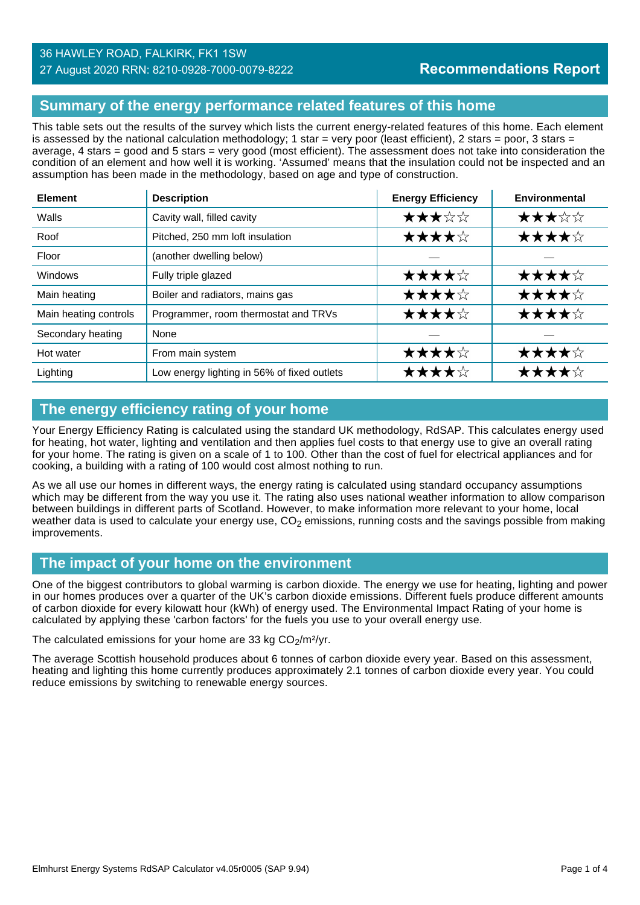#### 27 August 2020 RRN: 8210-0928-7000-0079-8222

## **Summary of the energy performance related features of this home**

This table sets out the results of the survey which lists the current energy-related features of this home. Each element is assessed by the national calculation methodology; 1 star = very poor (least efficient), 2 stars = poor, 3 stars = average, 4 stars = good and 5 stars = very good (most efficient). The assessment does not take into consideration the condition of an element and how well it is working. 'Assumed' means that the insulation could not be inspected and an assumption has been made in the methodology, based on age and type of construction.

| <b>Element</b>        | <b>Description</b>                          | <b>Energy Efficiency</b> | Environmental |
|-----------------------|---------------------------------------------|--------------------------|---------------|
| Walls                 | Cavity wall, filled cavity                  | ★★★☆☆                    | ★★★☆☆         |
| Roof                  | Pitched, 250 mm loft insulation             | ★★★★☆                    | ★★★★☆         |
| Floor                 | (another dwelling below)                    |                          |               |
| <b>Windows</b>        | Fully triple glazed                         | ★★★★☆                    | ★★★★☆         |
| Main heating          | Boiler and radiators, mains gas             | ★★★★☆                    | ★★★★☆         |
| Main heating controls | Programmer, room thermostat and TRVs        | ★★★★☆                    | ★★★★☆         |
| Secondary heating     | None                                        |                          |               |
| Hot water             | From main system                            | ★★★★☆                    | ★★★★☆         |
| Lighting              | Low energy lighting in 56% of fixed outlets | ★★★★☆                    | ★★★★☆         |

## **The energy efficiency rating of your home**

Your Energy Efficiency Rating is calculated using the standard UK methodology, RdSAP. This calculates energy used for heating, hot water, lighting and ventilation and then applies fuel costs to that energy use to give an overall rating for your home. The rating is given on a scale of 1 to 100. Other than the cost of fuel for electrical appliances and for cooking, a building with a rating of 100 would cost almost nothing to run.

As we all use our homes in different ways, the energy rating is calculated using standard occupancy assumptions which may be different from the way you use it. The rating also uses national weather information to allow comparison between buildings in different parts of Scotland. However, to make information more relevant to your home, local weather data is used to calculate your energy use,  $CO<sub>2</sub>$  emissions, running costs and the savings possible from making improvements.

## **The impact of your home on the environment**

One of the biggest contributors to global warming is carbon dioxide. The energy we use for heating, lighting and power in our homes produces over a quarter of the UK's carbon dioxide emissions. Different fuels produce different amounts of carbon dioxide for every kilowatt hour (kWh) of energy used. The Environmental Impact Rating of your home is calculated by applying these 'carbon factors' for the fuels you use to your overall energy use.

The calculated emissions for your home are 33 kg  $CO<sub>2</sub>/m<sup>2</sup>/yr$ .

The average Scottish household produces about 6 tonnes of carbon dioxide every year. Based on this assessment, heating and lighting this home currently produces approximately 2.1 tonnes of carbon dioxide every year. You could reduce emissions by switching to renewable energy sources.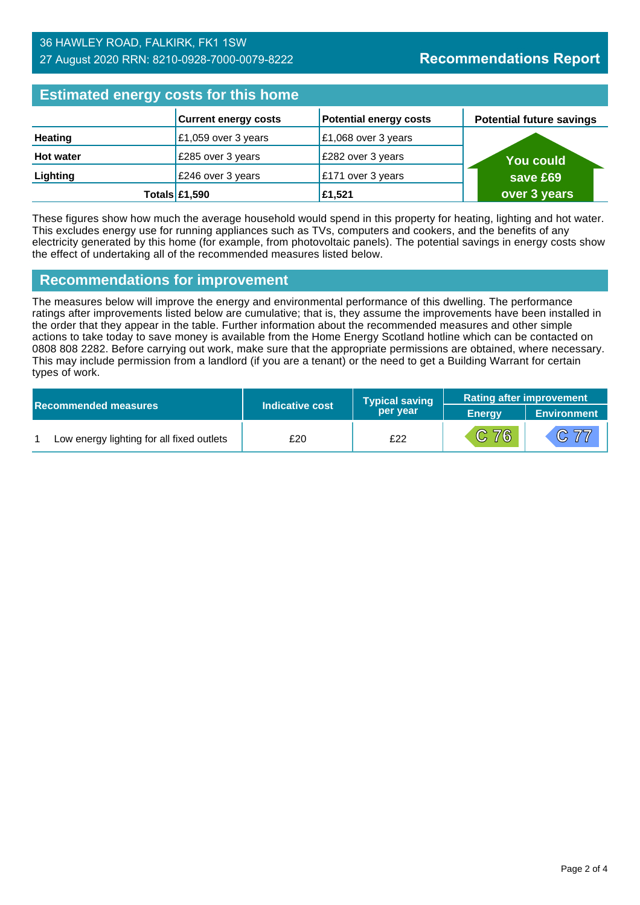#### 36 HAWLEY ROAD, FALKIRK, FK1 1SW 27 August 2020 RRN: 8210-0928-7000-0079-8222

## **Estimated energy costs for this home**

| Editional and all and the time hand |                             |                               |                                 |
|-------------------------------------|-----------------------------|-------------------------------|---------------------------------|
|                                     | <b>Current energy costs</b> | <b>Potential energy costs</b> | <b>Potential future savings</b> |
| <b>Heating</b>                      | £1,059 over 3 years         | £1,068 over 3 years           |                                 |
| <b>Hot water</b>                    | £285 over 3 years           | £282 over 3 years             | <b>You could</b>                |
| Lighting                            | £246 over 3 years           | £171 over 3 years             | save £69                        |
|                                     | Totals $£1,590$             | £1,521                        | over 3 years                    |

These figures show how much the average household would spend in this property for heating, lighting and hot water. This excludes energy use for running appliances such as TVs, computers and cookers, and the benefits of any electricity generated by this home (for example, from photovoltaic panels). The potential savings in energy costs show the effect of undertaking all of the recommended measures listed below.

## **Recommendations for improvement**

The measures below will improve the energy and environmental performance of this dwelling. The performance ratings after improvements listed below are cumulative; that is, they assume the improvements have been installed in the order that they appear in the table. Further information about the recommended measures and other simple actions to take today to save money is available from the Home Energy Scotland hotline which can be contacted on 0808 808 2282. Before carrying out work, make sure that the appropriate permissions are obtained, where necessary. This may include permission from a landlord (if you are a tenant) or the need to get a Building Warrant for certain types of work.

|  |                                           |                 | <b>Typical saving</b> | <b>Rating after improvement</b> |                    |
|--|-------------------------------------------|-----------------|-----------------------|---------------------------------|--------------------|
|  | <b>Recommended measures</b>               | Indicative cost | per year              | <b>Energy</b>                   | <b>Environment</b> |
|  | Low energy lighting for all fixed outlets | £20             | £22                   | C76                             | C77                |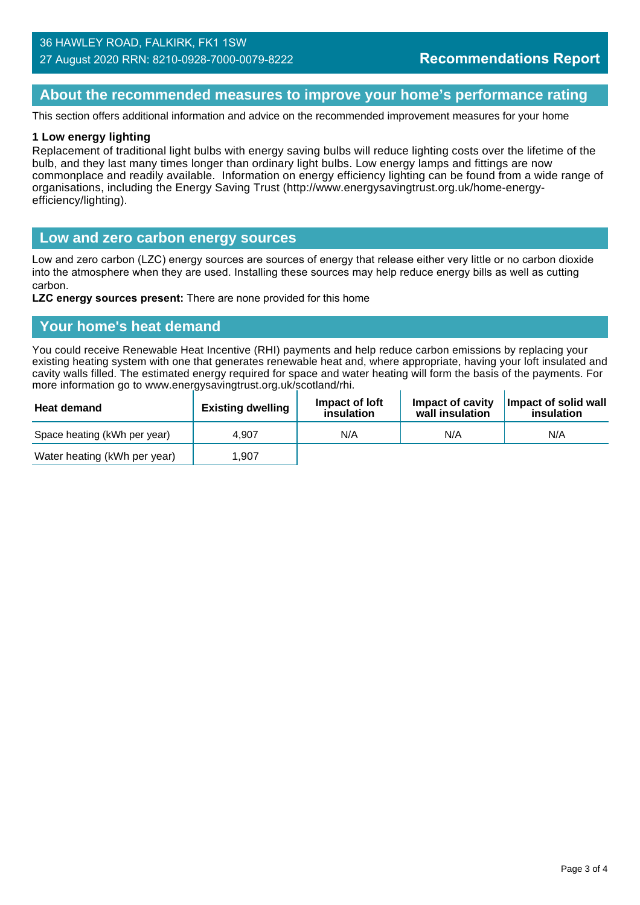#### 36 HAWLEY ROAD, FALKIRK, FK1 1SW 27 August 2020 RRN: 8210-0928-7000-0079-8222

## **About the recommended measures to improve your home's performance rating**

This section offers additional information and advice on the recommended improvement measures for your home

#### **1 Low energy lighting**

Replacement of traditional light bulbs with energy saving bulbs will reduce lighting costs over the lifetime of the bulb, and they last many times longer than ordinary light bulbs. Low energy lamps and fittings are now commonplace and readily available. Information on energy efficiency lighting can be found from a wide range of organisations, including the Energy Saving Trust (http://www.energysavingtrust.org.uk/home-energyefficiency/lighting).

#### **Low and zero carbon energy sources**

Low and zero carbon (LZC) energy sources are sources of energy that release either very little or no carbon dioxide into the atmosphere when they are used. Installing these sources may help reduce energy bills as well as cutting carbon.

**LZC energy sources present:** There are none provided for this home

#### **Your home's heat demand**

You could receive Renewable Heat Incentive (RHI) payments and help reduce carbon emissions by replacing your existing heating system with one that generates renewable heat and, where appropriate, having your loft insulated and cavity walls filled. The estimated energy required for space and water heating will form the basis of the payments. For more information go to www.energysavingtrust.org.uk/scotland/rhi.

| <b>Heat demand</b>           | <b>Existing dwelling</b> | Impact of loft<br>insulation | Impact of cavity<br>wall insulation | Impact of solid wall<br>insulation |
|------------------------------|--------------------------|------------------------------|-------------------------------------|------------------------------------|
| Space heating (kWh per year) | 4.907                    | N/A                          | N/A                                 | N/A                                |
| Water heating (kWh per year) | ∣.907                    |                              |                                     |                                    |